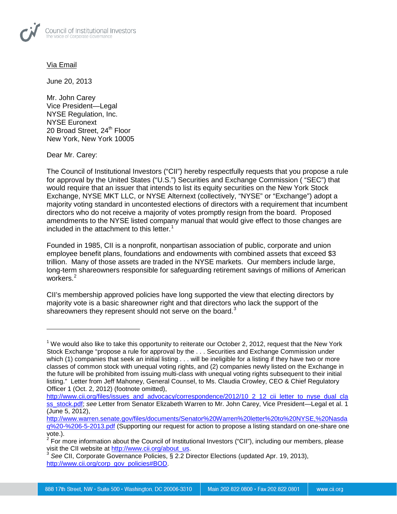

## Via Email

June 20, 2013

Mr. John Carey Vice President—Legal NYSE Regulation, Inc. NYSE Euronext 20 Broad Street, 24<sup>th</sup> Floor New York, New York 10005

Dear Mr. Carey:

 $\overline{\phantom{a}}$ 

The Council of Institutional Investors ("CII") hereby respectfully requests that you propose a rule for approval by the United States ("U.S.") Securities and Exchange Commission ( "SEC") that would require that an issuer that intends to list its equity securities on the New York Stock Exchange, NYSE MKT LLC, or NYSE Alternext (collectively, "NYSE" or "Exchange") adopt a majority voting standard in uncontested elections of directors with a requirement that incumbent directors who do not receive a majority of votes promptly resign from the board. Proposed amendments to the NYSE listed company manual that would give effect to those changes are included in the attachment to this letter.<sup>[1](#page-0-0)</sup>

Founded in 1985, CII is a nonprofit, nonpartisan association of public, corporate and union employee benefit plans, foundations and endowments with combined assets that exceed \$3 trillion. Many of those assets are traded in the NYSE markets. Our members include large, long-term shareowners responsible for safeguarding retirement savings of millions of American workers.<sup>[2](#page-0-1)</sup>

CII's membership approved policies have long supported the view that electing directors by majority vote is a basic shareowner right and that directors who lack the support of the shareowners they represent should not serve on the board.<sup>[3](#page-0-2)</sup>

<span id="page-0-0"></span><sup>&</sup>lt;sup>1</sup> We would also like to take this opportunity to reiterate our October 2, 2012, request that the New York Stock Exchange "propose a rule for approval by the . . . Securities and Exchange Commission under which (1) companies that seek an initial listing . . . will be ineligible for a listing if they have two or more classes of common stock with unequal voting rights, and (2) companies newly listed on the Exchange in the future will be prohibited from issuing multi-class with unequal voting rights subsequent to their initial listing." Letter from Jeff Mahoney, General Counsel, to Ms. Claudia Crowley, CEO & Chief Regulatory Officer 1 (Oct. 2, 2012) (footnote omitted),

[http://www.cii.org/files/issues\\_and\\_advocacy/correspondence/2012/10\\_2\\_12\\_cii\\_letter\\_to\\_nyse\\_dual\\_cla](http://www.cii.org/files/issues_and_advocacy/correspondence/2012/10_2_12_cii_letter_to_nyse_dual_class_stock.pdf) [ss\\_stock.pdf;](http://www.cii.org/files/issues_and_advocacy/correspondence/2012/10_2_12_cii_letter_to_nyse_dual_class_stock.pdf) see Letter from Senator Elizabeth Warren to Mr. John Carey, Vice President—Legal et al. 1 (June 5, 2012),

[http://www.warren.senate.gov/files/documents/Senator%20Warren%20letter%20to%20NYSE,%20Nasda](http://www.warren.senate.gov/files/documents/Senator%20Warren%20letter%20to%20NYSE,%20Nasdaq%20-%206-5-2013.pdf) [q%20-%206-5-2013.pdf](http://www.warren.senate.gov/files/documents/Senator%20Warren%20letter%20to%20NYSE,%20Nasdaq%20-%206-5-2013.pdf) (Supporting our request for action to propose a listing standard on one-share one vote.).

<span id="page-0-1"></span><sup>&</sup>lt;sup>2</sup> For more information about the Council of Institutional Investors ("CII"), including our members, please visit the CII website at http://www.cii.org/about us.

<span id="page-0-2"></span>visit the CII, Corporate Governance Policies, § 2.2 Director Elections (updated Apr. 19, 2013), [http://www.cii.org/corp\\_gov\\_policies#BOD.](http://www.cii.org/corp_gov_policies%23BOD)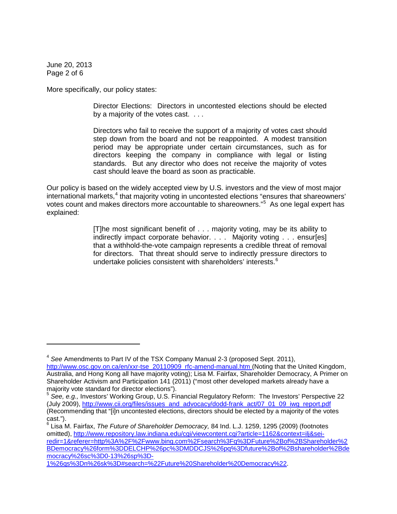June 20, 2013 Page 2 of 6

l

More specifically, our policy states:

Director Elections: Directors in uncontested elections should be elected by a majority of the votes cast. . . .

Directors who fail to receive the support of a majority of votes cast should step down from the board and not be reappointed. A modest transition period may be appropriate under certain circumstances, such as for directors keeping the company in compliance with legal or listing standards. But any director who does not receive the majority of votes cast should leave the board as soon as practicable.

Our policy is based on the widely accepted view by U.S. investors and the view of most major international markets, $4$  that majority voting in uncontested elections "ensures that shareowners' votes count and makes directors more accountable to shareowners."<sup>[5](#page-1-1)</sup> As one legal expert has explained:

> [T]he most significant benefit of . . . majority voting, may be its ability to indirectly impact corporate behavior. . . . Majority voting . . . ensur[es] that a withhold-the-vote campaign represents a credible threat of removal for directors. That threat should serve to indirectly pressure directors to undertake policies consistent with shareholders' interests.<sup>[6](#page-1-2)</sup>

<span id="page-1-2"></span><sup>6</sup> Lisa M. Fairfax, *The Future of Shareholder Democracy,* 84 Ind. L.J. 1259, 1295 (2009) (footnotes omitted), [http://www.repository.law.indiana.edu/cgi/viewcontent.cgi?article=1162&context=ilj&sei](http://www.repository.law.indiana.edu/cgi/viewcontent.cgi?article=1162&context=ilj&sei-redir=1&referer=http%3A%2F%2Fwww.bing.com%2Fsearch%3Fq%3DFuture%2Bof%2BShareholder%2BDemocracy%26form%3DDELCHP%26pc%3DMDDCJS%26pq%3Dfuture%2Bof%2Bshareholder%2Bdemocracy%26sc%3D0-13%26sp%3D-1%26qs%3Dn%26sk%3D%23search=%22Future%20Shareholder%20Democracy%22)[redir=1&referer=http%3A%2F%2Fwww.bing.com%2Fsearch%3Fq%3DFuture%2Bof%2BShareholder%2](http://www.repository.law.indiana.edu/cgi/viewcontent.cgi?article=1162&context=ilj&sei-redir=1&referer=http%3A%2F%2Fwww.bing.com%2Fsearch%3Fq%3DFuture%2Bof%2BShareholder%2BDemocracy%26form%3DDELCHP%26pc%3DMDDCJS%26pq%3Dfuture%2Bof%2Bshareholder%2Bdemocracy%26sc%3D0-13%26sp%3D-1%26qs%3Dn%26sk%3D%23search=%22Future%20Shareholder%20Democracy%22) [BDemocracy%26form%3DDELCHP%26pc%3DMDDCJS%26pq%3Dfuture%2Bof%2Bshareholder%2Bde](http://www.repository.law.indiana.edu/cgi/viewcontent.cgi?article=1162&context=ilj&sei-redir=1&referer=http%3A%2F%2Fwww.bing.com%2Fsearch%3Fq%3DFuture%2Bof%2BShareholder%2BDemocracy%26form%3DDELCHP%26pc%3DMDDCJS%26pq%3Dfuture%2Bof%2Bshareholder%2Bdemocracy%26sc%3D0-13%26sp%3D-1%26qs%3Dn%26sk%3D%23search=%22Future%20Shareholder%20Democracy%22) [mocracy%26sc%3D0-13%26sp%3D-](http://www.repository.law.indiana.edu/cgi/viewcontent.cgi?article=1162&context=ilj&sei-redir=1&referer=http%3A%2F%2Fwww.bing.com%2Fsearch%3Fq%3DFuture%2Bof%2BShareholder%2BDemocracy%26form%3DDELCHP%26pc%3DMDDCJS%26pq%3Dfuture%2Bof%2Bshareholder%2Bdemocracy%26sc%3D0-13%26sp%3D-1%26qs%3Dn%26sk%3D%23search=%22Future%20Shareholder%20Democracy%22)

[1%26qs%3Dn%26sk%3D#search=%22Future%20Shareholder%20Democracy%22.](http://www.repository.law.indiana.edu/cgi/viewcontent.cgi?article=1162&context=ilj&sei-redir=1&referer=http%3A%2F%2Fwww.bing.com%2Fsearch%3Fq%3DFuture%2Bof%2BShareholder%2BDemocracy%26form%3DDELCHP%26pc%3DMDDCJS%26pq%3Dfuture%2Bof%2Bshareholder%2Bdemocracy%26sc%3D0-13%26sp%3D-1%26qs%3Dn%26sk%3D%23search=%22Future%20Shareholder%20Democracy%22)

<span id="page-1-0"></span><sup>4</sup> *See* Amendments to Part IV of the TSX Company Manual 2-3 (proposed Sept. 2011), [http://www.osc.gov.on.ca/en/xxr-tse\\_20110909\\_rfc-amend-manual.htm](http://www.osc.gov.on.ca/en/xxr-tse_20110909_rfc-amend-manual.htm) (Noting that the United Kingdom, Australia, and Hong Kong all have majority voting); Lisa M. Fairfax, Shareholder Democracy, A Primer on Shareholder Activism and Participation 141 (2011) ("most other developed markets already have a majority vote standard for director elections").

<span id="page-1-1"></span><sup>&</sup>lt;sup>5</sup> See, e.g., Investors' Working Group, U.S. Financial Regulatory Reform: The Investors' Perspective 22 (July 2009), [http://www.cii.org/files/issues\\_and\\_advocacy/dodd-frank\\_act/07\\_01\\_09\\_iwg\\_report.pdf](http://www.cii.org/files/issues_and_advocacy/dodd-frank_act/07_01_09_iwg_report.pdf) (Recommending that "[i]n uncontested elections, directors should be elected by a majority of the votes cast.").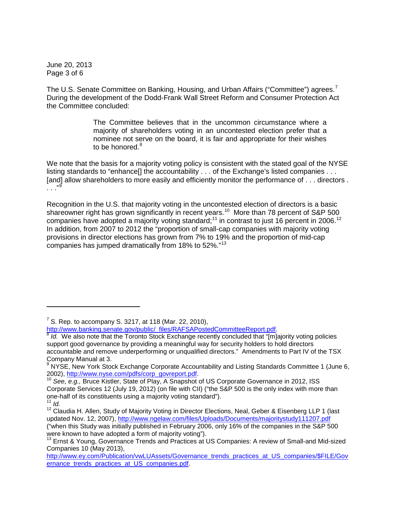June 20, 2013 Page 3 of 6

The U.S. Senate Committee on Banking, Housing, and Urban Affairs ("Committee") agrees.<sup>[7](#page-2-0)</sup> During the development of the Dodd-Frank Wall Street Reform and Consumer Protection Act the Committee concluded:

> The Committee believes that in the uncommon circumstance where a majority of shareholders voting in an uncontested election prefer that a nominee not serve on the board, it is fair and appropriate for their wishes to be honored.<sup>[8](#page-2-1)</sup>

We note that the basis for a majority voting policy is consistent with the stated goal of the NYSE listing standards to "enhance[] the accountability . . . of the Exchange's listed companies . . . [and] allow shareholders to more easily and efficiently monitor the performance of . . . directors .  $\cdot$  . . . [9](#page-2-2)

Recognition in the U.S. that majority voting in the uncontested election of directors is a basic shareowner right has grown significantly in recent years.<sup>[10](#page-2-3)</sup> More than 78 percent of S&P 500 companies have adopted a majority voting standard;<sup>[11](#page-2-4)</sup> in contrast to just 16 percent in 2006.<sup>[12](#page-2-5)</sup> In addition, from 2007 to 2012 the "proportion of small-cap companies with majority voting provisions in director elections has grown from 7% to 19% and the proportion of mid-cap companies has jumped dramatically from 18% to 52%."<sup>[13](#page-2-6)</sup>

 $\overline{\phantom{a}}$ 

<sup>&</sup>lt;sup>7</sup> S. Rep. to accompany S. 3217, at 118 (Mar. 22, 2010),

<span id="page-2-0"></span>[http://www.banking.senate.gov/public/\\_files/RAFSAPostedCommitteeReport.pdf.](http://www.banking.senate.gov/public/_files/RAFSAPostedCommitteeReport.pdf)<br><sup>[8](http://www.banking.senate.gov/public/_files/RAFSAPostedCommitteeReport.pdf)</sup> *Id.* We also note that the Toronto Stock Exchange recently concluded that "[m]ajority voting policies

<span id="page-2-1"></span>support good governance by providing a meaningful way for security holders to hold directors accountable and remove underperforming or unqualified directors." Amendments to Part IV of the TSX Company Manual at 3.

<span id="page-2-2"></span><sup>&</sup>lt;sup>9</sup> NYSE, New York Stock Exchange Corporate Accountability and Listing Standards Committee 1 (June 6, 2002), [http://www.nyse.com/pdfs/corp\\_govreport.pdf.](http://www.nyse.com/pdfs/corp_govreport.pdf)<br><sup>10</sup> See, e.g., Bruce Kistler, State of Play, A Snapshot of US Corporate Governance in 2012, ISS

<span id="page-2-3"></span>Corporate Services 12 (July 19, 2012) (on file with CII) ("the S&P 500 is the only index with more than one-half of its constituents using a majority voting standard"). 11 *Id.*

<span id="page-2-4"></span>

<span id="page-2-5"></span><sup>&</sup>lt;sup>12</sup> Claudia H. Allen, Study of Majority Voting in Director Elections, Neal, Geber & Eisenberg LLP 1 (last updated Nov. 12, 2007),<http://www.ngelaw.com/files/Uploads/Documents/majoritystudy111207.pdf> ("when this Study was initially published in February 2006, only 16% of the companies in the S&P 500 were known to have adopted a form of majority voting").

<span id="page-2-6"></span><sup>&</sup>lt;sup>13</sup> Ernst & Young, Governance Trends and Practices at US Companies: A review of Small-and Mid-sized Companies 10 (May 2013),

[http://www.ey.com/Publication/vwLUAssets/Governance\\_trends\\_practices\\_at\\_US\\_companies/\\$FILE/Gov](http://www.ey.com/Publication/vwLUAssets/Governance_trends_practices_at_US_companies/$FILE/Governance_trends_practices_at_US_companies.pdf) ernance trends practices at US companies.pdf.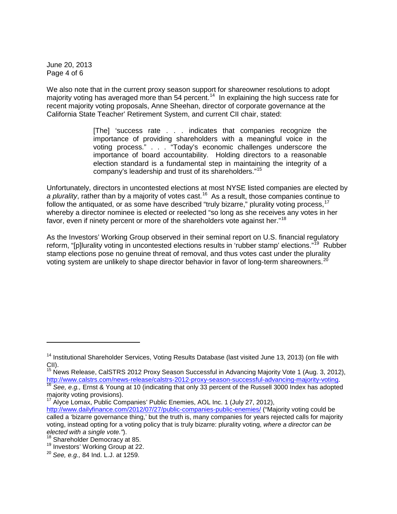June 20, 2013 Page 4 of 6

We also note that in the current proxy season support for shareowner resolutions to adopt majority voting has averaged more than 54 percent.<sup>[14](#page-3-0)</sup> In explaining the high success rate for recent majority voting proposals, Anne Sheehan, director of corporate governance at the California State Teacher' Retirement System, and current CII chair, stated:

> [The] 'success rate . . . indicates that companies recognize the importance of providing shareholders with a meaningful voice in the voting process." . . . "Today's economic challenges underscore the importance of board accountability. Holding directors to a reasonable election standard is a fundamental step in maintaining the integrity of a company's leadership and trust of its shareholders."[15](#page-3-1)

Unfortunately, directors in uncontested elections at most NYSE listed companies are elected by a plurality, rather than by a majority of votes cast.<sup>16</sup> As a result, those companies continue to follow the antiquated, or as some have described "truly bizarre," plurality voting process,  $17$ whereby a director nominee is elected or reelected "so long as she receives any votes in her favor, even if ninety percent or more of the shareholders vote against her."<sup>18</sup>

As the Investors' Working Group observed in their seminal report on U.S. financial regulatory reform, "[p]lurality voting in uncontested elections results in 'rubber stamp' elections."<sup>[19](#page-3-5)</sup> Rubber stamp elections pose no genuine threat of removal, and thus votes cast under the plurality voting system are unlikely to shape director behavior in favor of long-term shareowners.<sup>20</sup>

<span id="page-3-3"></span><sup>17</sup> Alyce Lomax, Public Companies' Public Enemies, AOL Inc. 1 (July 27, 2012), <http://www.dailyfinance.com/2012/07/27/public-companies-public-enemies/> ("Majority voting could be called a 'bizarre governance thing,' but the truth is, many companies for years rejected calls for majority voting, instead opting for a voting policy that is truly bizarre: plurality voting, *where a director can be elected with a single vote."*).<br><sup>18</sup> Shareholder Democracy at 85.

l

<span id="page-3-0"></span><sup>&</sup>lt;sup>14</sup> Institutional Shareholder Services, Voting Results Database (last visited June 13, 2013) (on file with CII).

<span id="page-3-1"></span><sup>&</sup>lt;sup>15</sup> News Release, CalSTRS 2012 Proxy Season Successful in Advancing Majority Vote 1 (Aug. 3, 2012), [http://www.calstrs.com/news-release/calstrs-2012-proxy-season-successful-advancing-majority-voting.](http://www.calstrs.com/news-release/calstrs-2012-proxy-season-successful-advancing-majority-voting) [16](http://www.calstrs.com/news-release/calstrs-2012-proxy-season-successful-advancing-majority-voting) *See, e.g.,* Ernst & Young at 10 (indicating that only 33 percent of the Russell 3000 Index has adopted

<span id="page-3-2"></span>majority voting provisions).

<span id="page-3-5"></span><span id="page-3-4"></span><sup>&</sup>lt;sup>19</sup> Investors' Working Group at 22.

<span id="page-3-6"></span><sup>20</sup> *See, e.g.,* 84 Ind. L.J. at 1259.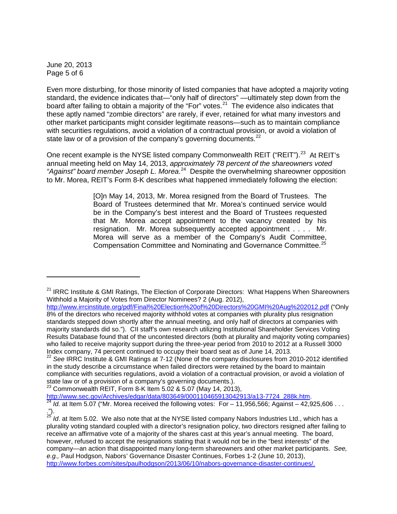June 20, 2013 Page 5 of 6

l

Even more disturbing, for those minority of listed companies that have adopted a majority voting standard, the evidence indicates that—"only half of directors" —ultimately step down from the board after failing to obtain a majority of the "For" votes.<sup>[21](#page-4-0)</sup> The evidence also indicates that these aptly named "zombie directors" are rarely, if ever, retained for what many investors and other market participants might consider legitimate reasons—such as to maintain compliance with securities regulations, avoid a violation of a contractual provision, or avoid a violation of state law or of a provision of the company's governing documents. $^{22}$  $^{22}$  $^{22}$ 

One recent example is the NYSE listed company Commonwealth REIT ("REIT").<sup>[23](#page-4-2)</sup> At REIT's annual meeting held on May 14, 2013, *approximately 78 percent of the shareowners voted "Against" board member Joseph L. Morea*. [24](#page-4-3) Despite the overwhelming shareowner opposition to Mr. Morea, REIT's Form 8-K describes what happened immediately following the election:

> [O]n May 14, 2013, Mr. Morea resigned from the Board of Trustees. The Board of Trustees determined that Mr. Morea's continued service would be in the Company's best interest and the Board of Trustees requested that Mr. Morea accept appointment to the vacancy created by his resignation. Mr. Morea subsequently accepted appointment . . . . Mr. Morea will serve as a member of the Company's Audit Committee, Compensation Committee and Nominating and Governance Committee.<sup>[25](#page-4-4)</sup>

<span id="page-4-2"></span>

<span id="page-4-0"></span><sup>&</sup>lt;sup>21</sup> IRRC Institute & GMI Ratings, The Election of Corporate Directors: What Happens When Shareowners Withhold a Majority of Votes from Director Nominees? 2 (Aug. 2012),

<http://www.irrcinstitute.org/pdf/Final%20Election%20of%20Directors%20GMI%20Aug%202012.pdf> ("Only 8% of the directors who received majority withhold votes at companies with plurality plus resignation standards stepped down shortly after the annual meeting, and only half of directors at companies with majority standards did so."). CII staff's own research utilizing Institutional Shareholder Services Voting Results Database found that of the uncontested directors (both at plurality and majority voting companies) who failed to receive majority support during the three-year period from 2010 to 2012 at a Russell 3000 Index company, 74 percent continued to occupy their board seat as of June 14, 2013.<br><sup>22</sup> See IRRC Institute & GMI Ratings at 7-12 (None of the company disclosures from 2010-2012 identified

<span id="page-4-1"></span>in the study describe a circumstance when failed directors were retained by the board to maintain compliance with securities regulations, avoid a violation of a contractual provision, or avoid a violation of state law or of a provision of a company's governing documents.).<br><sup>23</sup> Commonwealth REIT, Form 8-K Item 5.02 & 5.07 (May 14, 2013),

[http://www.sec.gov/Archives/edgar/data/803649/000110465913042913/a13-7724\\_288k.htm.](http://www.sec.gov/Archives/edgar/data/803649/000110465913042913/a13-7724_288k.htm)<br><sup>[24](http://www.sec.gov/Archives/edgar/data/803649/000110465913042913/a13-7724_288k.htm)</sup> *Id.* at Item 5.07 ("Mr. Morea received the following votes: For – 11,956,566; Against – 42,925,606 . . .

<span id="page-4-3"></span><sup>.&</sup>quot;).

<span id="page-4-4"></span><sup>&</sup>lt;sup>25</sup> Id. at Item 5.02. We also note that at the NYSE listed company Nabors Industries Ltd., which has a plurality voting standard coupled with a director's resignation policy, two directors resigned after failing to receive an affirmative vote of a majority of the shares cast at this year's annual meeting. The board, however, refused to accept the resignations stating that it would not be in the "best interests" of the company—an action that disappointed many long-term shareowners and other market participants. *See, e.g.,* Paul Hodgson, Nabors' Governance Disaster Continues, Forbes 1-2 (June 10, 2013), [http://www.forbes.com/sites/paulhodgson/2013/06/10/nabors-governance-disaster-continues/.](http://www.forbes.com/sites/paulhodgson/2013/06/10/nabors-governance-disaster-continues/)